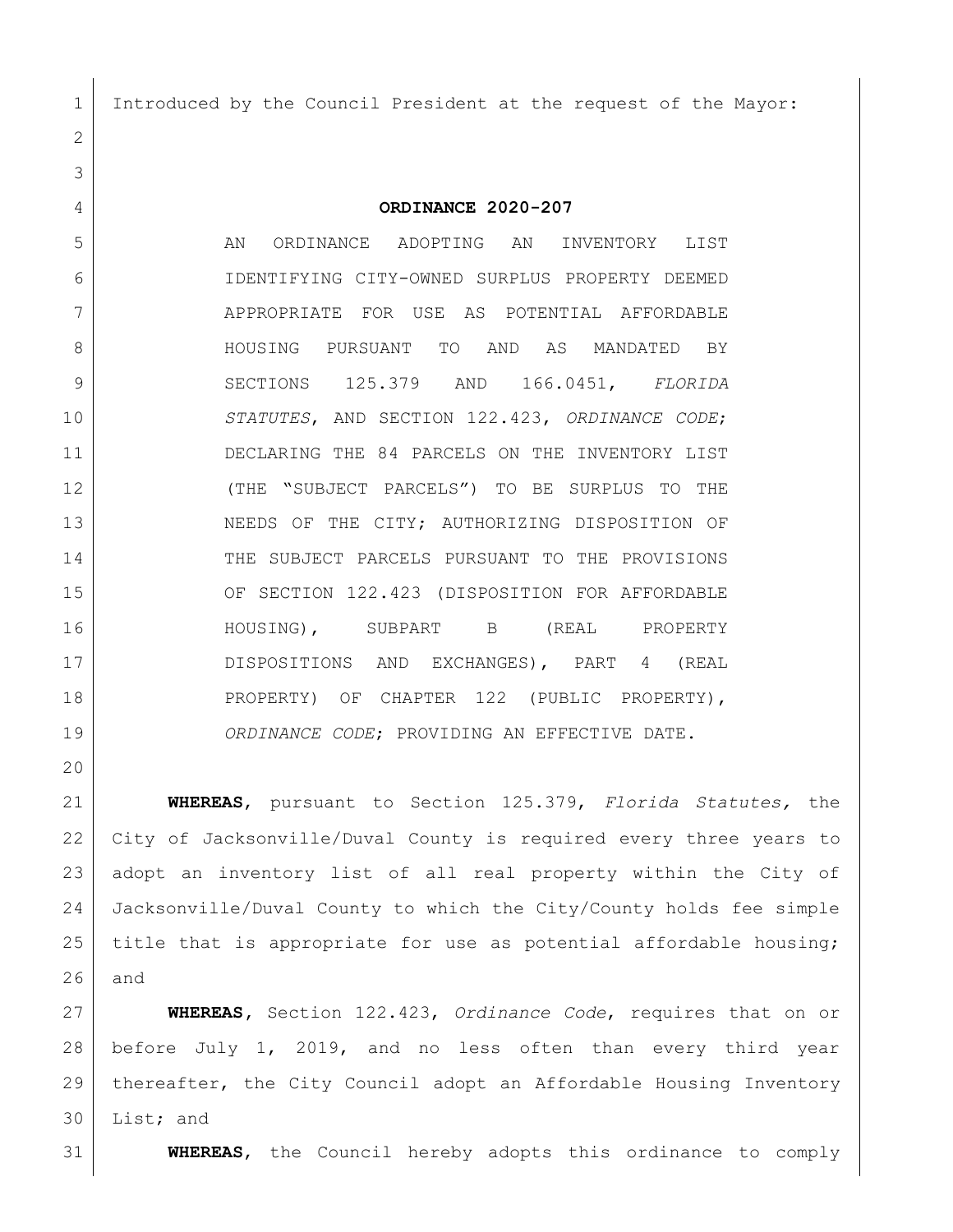Introduced by the Council President at the request of the Mayor:

**ORDINANCE 2020-207**

 AN ORDINANCE ADOPTING AN INVENTORY LIST IDENTIFYING CITY-OWNED SURPLUS PROPERTY DEEMED APPROPRIATE FOR USE AS POTENTIAL AFFORDABLE HOUSING PURSUANT TO AND AS MANDATED BY SECTIONS 125.379 AND 166.0451, *FLORIDA STATUTES*, AND SECTION 122.423, *ORDINANCE CODE*; DECLARING THE 84 PARCELS ON THE INVENTORY LIST (THE "SUBJECT PARCELS") TO BE SURPLUS TO THE 13 NEEDS OF THE CITY; AUTHORIZING DISPOSITION OF THE SUBJECT PARCELS PURSUANT TO THE PROVISIONS OF SECTION 122.423 (DISPOSITION FOR AFFORDABLE HOUSING), SUBPART B (REAL PROPERTY DISPOSITIONS AND EXCHANGES), PART 4 (REAL 18 | PROPERTY) OF CHAPTER 122 (PUBLIC PROPERTY), *ORDINANCE CODE*; PROVIDING AN EFFECTIVE DATE.

 **WHEREAS**, pursuant to Section 125.379, *Florida Statutes,* the City of Jacksonville/Duval County is required every three years to adopt an inventory list of all real property within the City of Jacksonville/Duval County to which the City/County holds fee simple 25 | title that is appropriate for use as potential affordable housing; and

 **WHEREAS,** Section 122.423, *Ordinance Code*, requires that on or before July 1, 2019, and no less often than every third year thereafter, the City Council adopt an Affordable Housing Inventory List; and

**WHEREAS**, the Council hereby adopts this ordinance to comply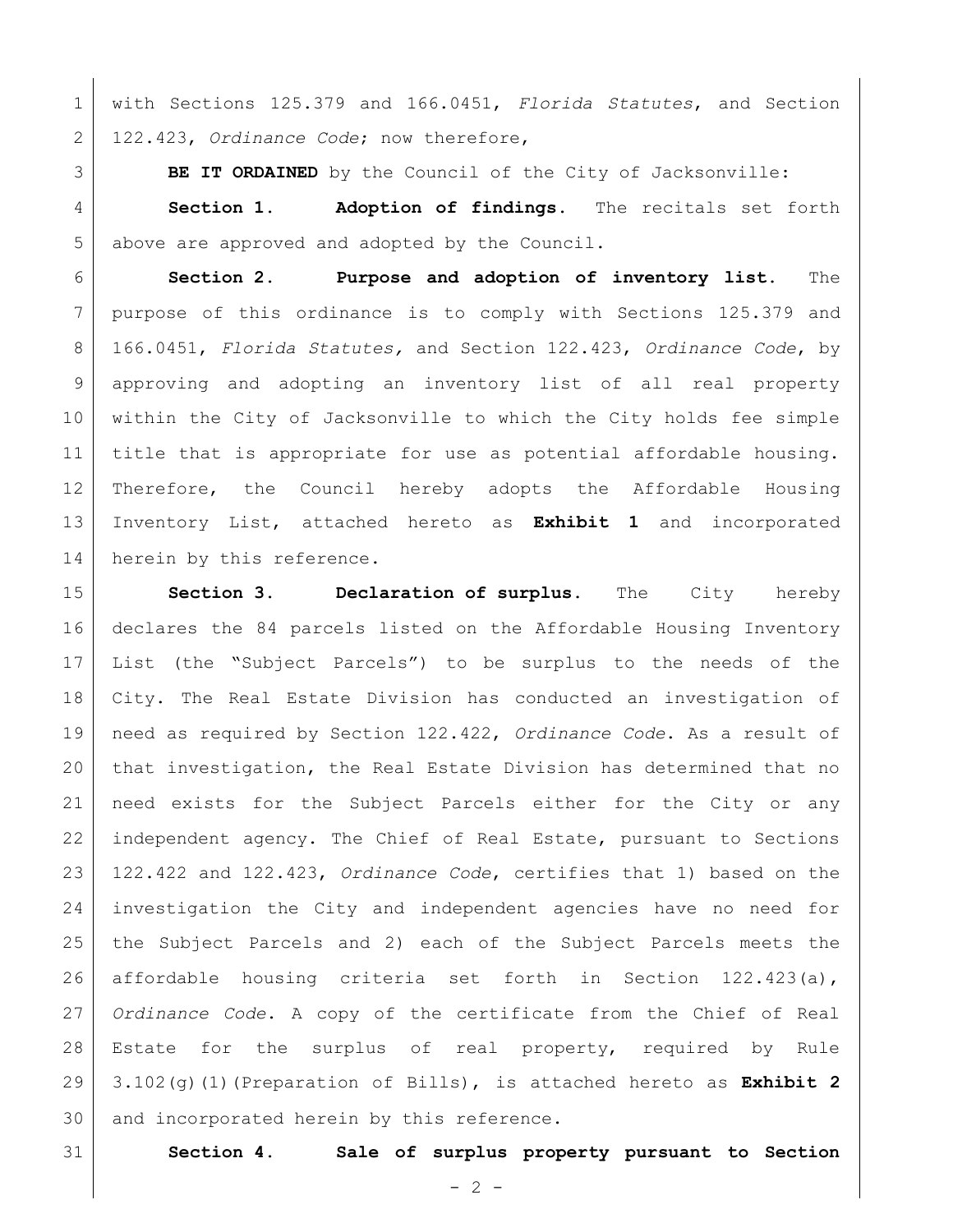with Sections 125.379 and 166.0451, *Florida Statutes*, and Section 122.423, *Ordinance Code*; now therefore,

**BE IT ORDAINED** by the Council of the City of Jacksonville:

 **Section 1. Adoption of findings**. The recitals set forth 5 above are approved and adopted by the Council.

 **Section 2. Purpose and adoption of inventory list.** The purpose of this ordinance is to comply with Sections 125.379 and 166.0451, *Florida Statutes,* and Section 122.423, *Ordinance Code*, by approving and adopting an inventory list of all real property within the City of Jacksonville to which the City holds fee simple title that is appropriate for use as potential affordable housing. Therefore, the Council hereby adopts the Affordable Housing Inventory List, attached hereto as **Exhibit 1** and incorporated 14 | herein by this reference.

 **Section 3. Declaration of surplus.** The City hereby declares the 84 parcels listed on the Affordable Housing Inventory List (the "Subject Parcels") to be surplus to the needs of the City. The Real Estate Division has conducted an investigation of need as required by Section 122.422, *Ordinance Code*. As a result of that investigation, the Real Estate Division has determined that no need exists for the Subject Parcels either for the City or any independent agency. The Chief of Real Estate, pursuant to Sections 122.422 and 122.423, *Ordinance Code*, certifies that 1) based on the investigation the City and independent agencies have no need for the Subject Parcels and 2) each of the Subject Parcels meets the affordable housing criteria set forth in Section 122.423(a), *Ordinance Code*. A copy of the certificate from the Chief of Real Estate for the surplus of real property, required by Rule 3.102(g)(1)(Preparation of Bills), is attached hereto as **Exhibit 2** 30 and incorporated herein by this reference.

**Section 4. Sale of surplus property pursuant to Section**